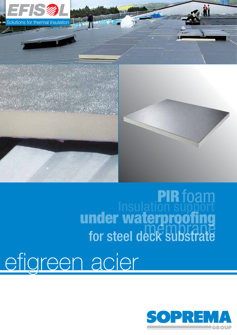

**Insulation support** under waterproofing for steel deck substrate PIRfoam

g efigreen acier